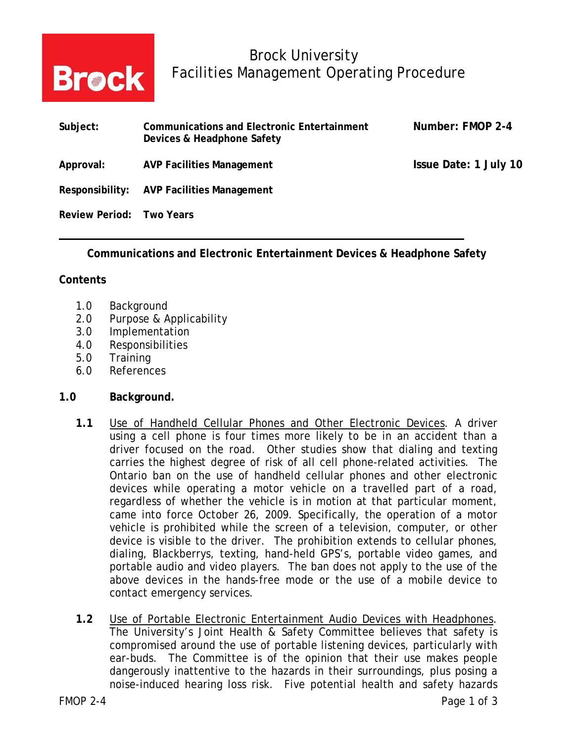

# Brock University **Brock** Facilities Management Operating Procedure

| Subject:                 | <b>Communications and Electronic Entertainment</b><br>Devices & Headphone Safety | Number: FMOP 2-4      |
|--------------------------|----------------------------------------------------------------------------------|-----------------------|
| Approval:                | <b>AVP Facilities Management</b>                                                 | Issue Date: 1 July 10 |
|                          | Responsibility: AVP Facilities Management                                        |                       |
| Review Period: Two Years |                                                                                  |                       |

**Communications and Electronic Entertainment Devices & Headphone Safety** 

### **Contents**

- 1.0 Background
- 2.0 Purpose & Applicability
- 3.0 Implementation
- 4.0 Responsibilities
- 5.0 Training
- 6.0 References

#### **1.0 Background.**

- **1.1** Use of Handheld Cellular Phones and Other Electronic Devices. A driver using a cell phone is four times more likely to be in an accident than a driver focused on the road. Other studies show that dialing and texting carries the highest degree of risk of all cell phone-related activities. The Ontario ban on the use of handheld cellular phones and other electronic devices while operating a motor vehicle on a travelled part of a road, regardless of whether the vehicle is in motion at that particular moment, came into force October 26, 2009. Specifically, the operation of a motor vehicle is prohibited while the screen of a television, computer, or other device is visible to the driver. The prohibition extends to cellular phones, dialing, Blackberrys, texting, hand-held GPS's, portable video games, and portable audio and video players. The ban does not apply to the use of the above devices in the hands-free mode or the use of a mobile device to contact emergency services.
- **1.2** Use of Portable Electronic Entertainment Audio Devices with Headphones. The University's Joint Health & Safety Committee believes that safety is compromised around the use of portable listening devices, particularly with ear-buds. The Committee is of the opinion that their use makes people dangerously inattentive to the hazards in their surroundings, plus posing a noise-induced hearing loss risk. Five potential health and safety hazards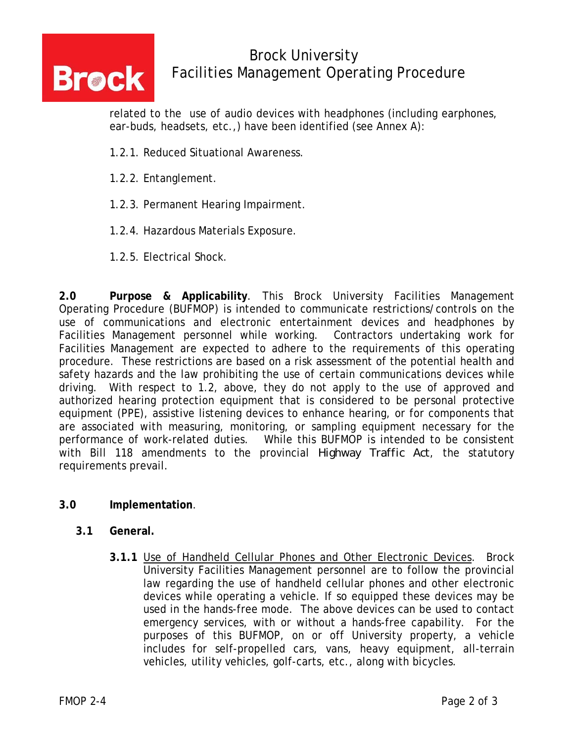

# Brock University **Brock** Facilities Management Operating Procedure

related to the use of audio devices with headphones (including earphones, ear-buds, headsets, etc.,) have been identified (see Annex A):

- 1.2.1. Reduced Situational Awareness.
- 1.2.2. Entanglement.
- 1.2.3. Permanent Hearing Impairment.
- 1.2.4. Hazardous Materials Exposure.
- 1.2.5. Electrical Shock.

**2.0 Purpose & Applicability**. This Brock University Facilities Management Operating Procedure (BUFMOP) is intended to communicate restrictions/controls on the use of communications and electronic entertainment devices and headphones by Facilities Management personnel while working. Contractors undertaking work for Facilities Management are expected to adhere to the requirements of this operating procedure. These restrictions are based on a risk assessment of the potential health and safety hazards and the law prohibiting the use of certain communications devices while driving. With respect to 1.2, above, they do not apply to the use of approved and authorized hearing protection equipment that is considered to be personal protective equipment (PPE), assistive listening devices to enhance hearing, or for components that are associated with measuring, monitoring, or sampling equipment necessary for the performance of work-related duties. While this BUFMOP is intended to be consistent with Bill 118 amendments to the provincial *Highway Traffic Act*, the statutory requirements prevail.

### **3.0 Implementation**.

- **3.1 General.**
	- **3.1.1** Use of Handheld Cellular Phones and Other Electronic Devices. Brock University Facilities Management personnel are to follow the provincial law regarding the use of handheld cellular phones and other electronic devices while operating a vehicle. If so equipped these devices may be used in the hands-free mode. The above devices can be used to contact emergency services, with or without a hands-free capability. For the purposes of this BUFMOP, on or off University property, a vehicle includes for self-propelled cars, vans, heavy equipment, all-terrain vehicles, utility vehicles, golf-carts, etc., along with bicycles.